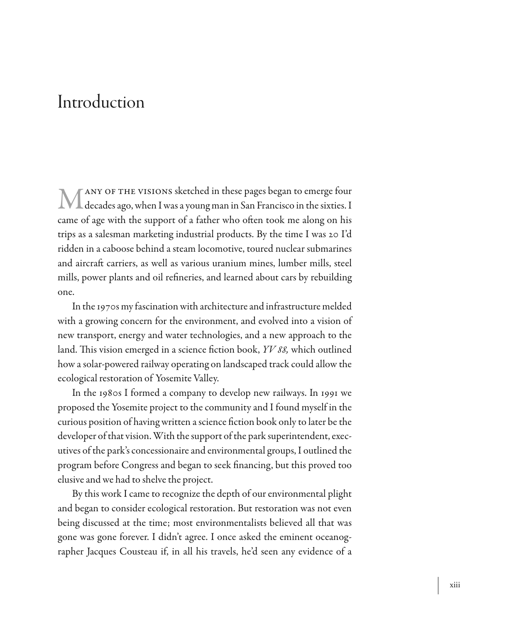## Introduction

ANY OF THE VISIONS sketched in these pages began to emerge four  $\blacksquare$  decades ago, when I was a young man in San Francisco in the sixties. I came of age with the support of a father who often took me along on his trips as a salesman marketing industrial products. By the time I was 20 I'd ridden in a caboose behind a steam locomotive, toured nuclear submarines and aircraft carriers, as well as various uranium mines, lumber mills, steel mills, power plants and oil refineries, and learned about cars by rebuilding one.

In the 1970s my fascination with architecture and infrastructure melded with a growing concern for the environment, and evolved into a vision of new transport, energy and water technologies, and a new approach to the land. This vision emerged in a science fiction book,  $YV$  88, which outlined how asolar-powered railway operating on landscaped track could allow the ecological restoration of Yosemite Valley.

In the 1980s I formed a company to develop new railways. In 1991 we proposed the Yosemite project to the community and I found myself in the curious position of having written a science fiction book only to later be the developer of that vision. With the support of the park superintendent, executives of the park's concessionaire and environmental groups, I outlined the program before congress and began to seek financing, but this proved too elusive and we had to shelve the project.

By this work I came to recognize the depth of our environmental plight and began to consider ecological restoration. But restoration was not even being discussed at the time; most environmentalists believed all that was gone was gone forever. I didn't agree. I once asked the eminent oceanographer Jacques Cousteau if, in all his travels, he'd seen any evidence of a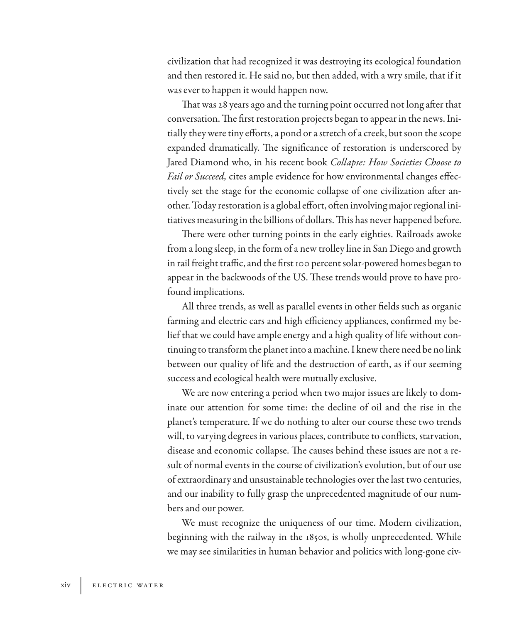civilization that had recognized it was destroying its ecological foundation and then restored it. Hesaid no, but then added, with a wry smile, that if it was ever to happen it would happen now.

That was 28 years ago and the turning point occurred not long after that conversation. The first restoration projects began to appear in the news. Initially they were tiny efforts, a pond or a stretch of a creek, but soon the scope expanded dramatically. The significance of restoration is underscored by Jared Diamond who, in his recent book Collapse: How Societies Choose to Fail or Succeed, cites ample evidence for how environmental changes effectively set the stage for the economic collapse of one civilization after another. Today restoration is a global effort, often involving major regional initiatives measuring in the billions of dollars. This has never happened before.

There were other turning points in the early eighties. Railroads awoke from a long sleep, in the form of a new trolley line in San Diego and growth in rail freight traffic, and the first 100 percent solar-powered homes began to appear in the backwoods of the US. These trends would prove to have profound implications.

All three trends, as well as parallel events in other fields such as organic farming and electric cars and high efficiency appliances, confirmed my belief that we could have ample energy and a high quality of life without continuing to transform the planet into a machine. I knew there need be no link between our quality of life and the destruction of earth, as if our seeming success and ecological health were mutually exclusive.

We are now entering a period when two major issues are likely to dominate our attention for some time: the decline of oil and the rise in the planet's temperature. if we do nothing to alter our course these two trends will, to varying degrees in various places, contribute to conflicts, starvation, disease and economic collapse. The causes behind these issues are not a result of normal events in the course of civilization's evolution, but of our use of extraordinary and unsustainable technologies over the last two centuries, and our inability to fully grasp the unprecedented magnitude of our numbersand our power.

We must recognize the uniqueness of our time. Modern civilization, beginning with the railway in the 1850s, is wholly unprecedented. While we may see similarities in human behavior and politics with long-gone civ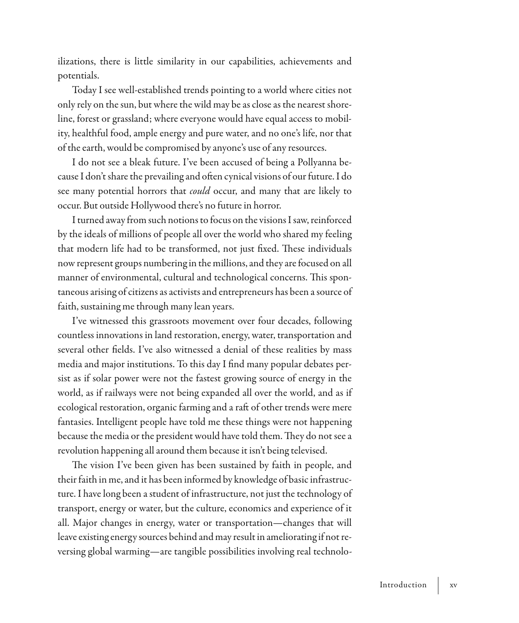ilizations, there is little similarity in our capabilities, achievements and potentials.

Today I see well-established trends pointing to a world where cities not only rely on the sun, but where the wild may be as close as the nearest shoreline, forest or grassland; where everyone would have equal access to mobility, healthful food, ample energy and pure water, and no one's life, nor that of the earth, would be compromised by anyone's use of any resources.

I do not see a bleak future. I've been accused of being a Pollyanna because I don't share the prevailing and often cynical visions of our future. I do see many potential horrors that *could* occur, and many that are likely to occur. But outside Hollywood there's no future in horror.

I turned away from such notions to focus on the visions I saw, reinforced by the ideals of millions of people all over the world who shared my feeling that modern life had to be transformed, not just fixed. These individuals now represent groups numbering in the millions, and they are focused on all manner of environmental, cultural and technological concerns. This spontaneous arising of citizens as activists and entrepreneurs has been a source of faith, sustaining me through many lean years.

I've witnessed this grassroots movement over four decades, following countless innovations in land restoration,energy, water, transportation and several other fields. I've also witnessed a denial of these realities by mass media and major institutions. To this day I find many popular debates persist as if solar power were not the fastest growing source of energy in the world, as if railways were not being expanded all over the world, and as if ecological restoration, organic farming and a raft of other trends were mere fantasies. Intelligent people have told me these things were not happening because the media or the president would have told them. They do not see a revolution happening all around them because it isn't being televised.

The vision I've been given has been sustained by faith in people, and their faith in me, and it has been informed by knowledge of basic infrastructure. I have long been a student of infrastructure, not just the technology of transport, energy or water, but the culture, economics and experience of it all. Major changes in energy, water or transportation—changes that will leave existing energy sources behind and may result in ameliorating if not reversing global warming—are tangible possibilities involving real technolo